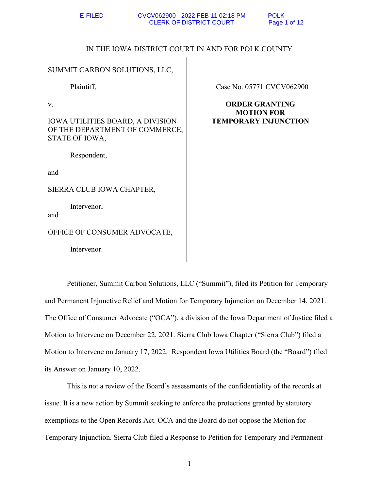# IN THE IOWA DISTRICT COURT IN AND FOR POLK COUNTY

| SUMMIT CARBON SOLUTIONS, LLC,                                                                     |                                                                           |
|---------------------------------------------------------------------------------------------------|---------------------------------------------------------------------------|
| Plaintiff,                                                                                        | Case No. 05771 CVCV062900                                                 |
| V.<br><b>IOWA UTILITIES BOARD, A DIVISION</b><br>OF THE DEPARTMENT OF COMMERCE,<br>STATE OF IOWA, | <b>ORDER GRANTING</b><br><b>MOTION FOR</b><br><b>TEMPORARY INJUNCTION</b> |
| Respondent,                                                                                       |                                                                           |
| and                                                                                               |                                                                           |
| SIERRA CLUB IOWA CHAPTER,                                                                         |                                                                           |
| Intervenor,<br>and                                                                                |                                                                           |
| OFFICE OF CONSUMER ADVOCATE,                                                                      |                                                                           |
| Intervenor.                                                                                       |                                                                           |

 Petitioner, Summit Carbon Solutions, LLC ("Summit"), filed its Petition for Temporary and Permanent Injunctive Relief and Motion for Temporary Injunction on December 14, 2021. The Office of Consumer Advocate ("OCA"), a division of the Iowa Department of Justice filed a Motion to Intervene on December 22, 2021. Sierra Club Iowa Chapter ("Sierra Club") filed a Motion to Intervene on January 17, 2022. Respondent Iowa Utilities Board (the "Board") filed its Answer on January 10, 2022.

This is not a review of the Board's assessments of the confidentiality of the records at issue. It is a new action by Summit seeking to enforce the protections granted by statutory exemptions to the Open Records Act. OCA and the Board do not oppose the Motion for Temporary Injunction. Sierra Club filed a Response to Petition for Temporary and Permanent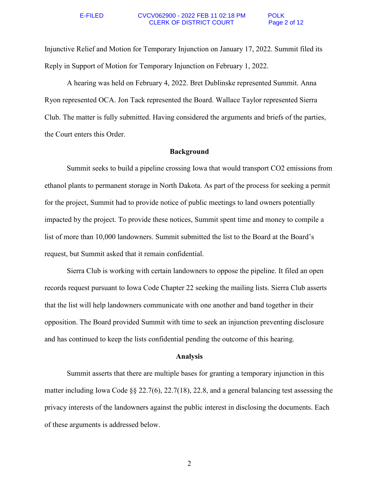### E-FILED CVCV062900 - 2022 FEB 11 02:18 PM POLK CLERK OF DISTRICT COURT Page 2 of 12

Injunctive Relief and Motion for Temporary Injunction on January 17, 2022. Summit filed its Reply in Support of Motion for Temporary Injunction on February 1, 2022.

A hearing was held on February 4, 2022. Bret Dublinske represented Summit. Anna Ryon represented OCA. Jon Tack represented the Board. Wallace Taylor represented Sierra Club. The matter is fully submitted. Having considered the arguments and briefs of the parties, the Court enters this Order.

## **Background**

Summit seeks to build a pipeline crossing Iowa that would transport CO2 emissions from ethanol plants to permanent storage in North Dakota. As part of the process for seeking a permit for the project, Summit had to provide notice of public meetings to land owners potentially impacted by the project. To provide these notices, Summit spent time and money to compile a list of more than 10,000 landowners. Summit submitted the list to the Board at the Board's request, but Summit asked that it remain confidential.

 Sierra Club is working with certain landowners to oppose the pipeline. It filed an open records request pursuant to Iowa Code Chapter 22 seeking the mailing lists. Sierra Club asserts that the list will help landowners communicate with one another and band together in their opposition. The Board provided Summit with time to seek an injunction preventing disclosure and has continued to keep the lists confidential pending the outcome of this hearing.

## **Analysis**

Summit asserts that there are multiple bases for granting a temporary injunction in this matter including Iowa Code §§ 22.7(6), 22.7(18), 22.8, and a general balancing test assessing the privacy interests of the landowners against the public interest in disclosing the documents. Each of these arguments is addressed below.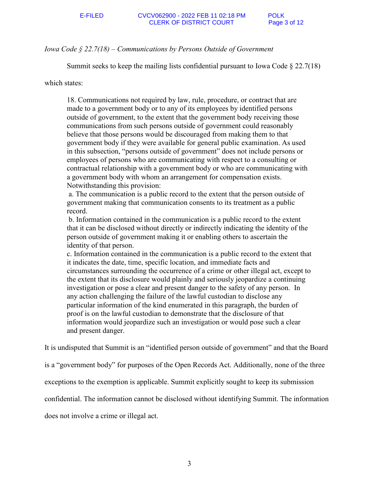### E-FILED CVCV062900 - 2022 FEB 11 02:18 PM POLK<br>CLERK OF DISTRICT COURT Page 3 of 12 **CLERK OF DISTRICT COURT**

# *Iowa Code § 22.7(18) – Communications by Persons Outside of Government*

Summit seeks to keep the mailing lists confidential pursuant to Iowa Code § 22.7(18)

which states:

18. Communications not required by law, rule, procedure, or contract that are made to a government body or to any of its employees by identified persons outside of government, to the extent that the government body receiving those communications from such persons outside of government could reasonably believe that those persons would be discouraged from making them to that government body if they were available for general public examination. As used in this subsection, "persons outside of government" does not include persons or employees of persons who are communicating with respect to a consulting or contractual relationship with a government body or who are communicating with a government body with whom an arrangement for compensation exists. Notwithstanding this provision:

 a. The communication is a public record to the extent that the person outside of government making that communication consents to its treatment as a public record.

 b. Information contained in the communication is a public record to the extent that it can be disclosed without directly or indirectly indicating the identity of the person outside of government making it or enabling others to ascertain the identity of that person.

c. Information contained in the communication is a public record to the extent that it indicates the date, time, specific location, and immediate facts and circumstances surrounding the occurrence of a crime or other illegal act, except to the extent that its disclosure would plainly and seriously jeopardize a continuing investigation or pose a clear and present danger to the safety of any person. In any action challenging the failure of the lawful custodian to disclose any particular information of the kind enumerated in this paragraph, the burden of proof is on the lawful custodian to demonstrate that the disclosure of that information would jeopardize such an investigation or would pose such a clear and present danger.

It is undisputed that Summit is an "identified person outside of government" and that the Board

is a "government body" for purposes of the Open Records Act. Additionally, none of the three

exceptions to the exemption is applicable. Summit explicitly sought to keep its submission

confidential. The information cannot be disclosed without identifying Summit. The information

does not involve a crime or illegal act.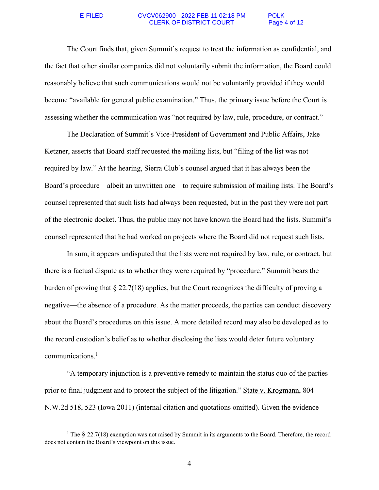$\overline{a}$ 

### E-FILED CVCV062900 - 2022 FEB 11 02:18 PM POLK CLERK OF DISTRICT COURT Page 4 of 12

 The Court finds that, given Summit's request to treat the information as confidential, and the fact that other similar companies did not voluntarily submit the information, the Board could reasonably believe that such communications would not be voluntarily provided if they would become "available for general public examination." Thus, the primary issue before the Court is assessing whether the communication was "not required by law, rule, procedure, or contract."

The Declaration of Summit's Vice-President of Government and Public Affairs, Jake Ketzner, asserts that Board staff requested the mailing lists, but "filing of the list was not required by law." At the hearing, Sierra Club's counsel argued that it has always been the Board's procedure – albeit an unwritten one – to require submission of mailing lists. The Board's counsel represented that such lists had always been requested, but in the past they were not part of the electronic docket. Thus, the public may not have known the Board had the lists. Summit's counsel represented that he had worked on projects where the Board did not request such lists.

In sum, it appears undisputed that the lists were not required by law, rule, or contract, but there is a factual dispute as to whether they were required by "procedure." Summit bears the burden of proving that  $\S 22.7(18)$  applies, but the Court recognizes the difficulty of proving a negative—the absence of a procedure. As the matter proceeds, the parties can conduct discovery about the Board's procedures on this issue. A more detailed record may also be developed as to the record custodian's belief as to whether disclosing the lists would deter future voluntary communications.<sup>1</sup>

"A temporary injunction is a preventive remedy to maintain the status quo of the parties prior to final judgment and to protect the subject of the litigation." State v. Krogmann, 804 N.W.2d 518, 523 (Iowa 2011) (internal citation and quotations omitted). Given the evidence

<sup>&</sup>lt;sup>1</sup> The  $\S$  22.7(18) exemption was not raised by Summit in its arguments to the Board. Therefore, the record does not contain the Board's viewpoint on this issue.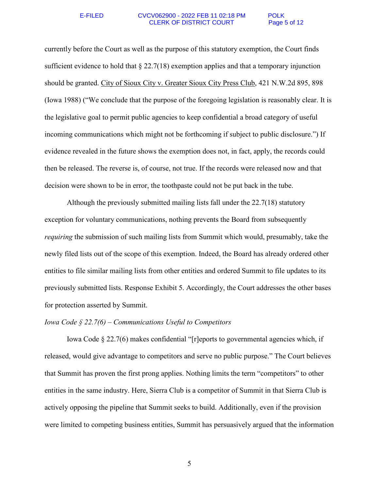### E-FILED CVCV062900 - 2022 FEB 11 02:18 PM POLK CLERK OF DISTRICT COURT Page 5 of 12

currently before the Court as well as the purpose of this statutory exemption, the Court finds sufficient evidence to hold that  $\S 22.7(18)$  exemption applies and that a temporary injunction should be granted. City of Sioux City v. Greater Sioux City Press Club, 421 N.W.2d 895, 898 (Iowa 1988) ("We conclude that the purpose of the foregoing legislation is reasonably clear. It is the legislative goal to permit public agencies to keep confidential a broad category of useful incoming communications which might not be forthcoming if subject to public disclosure.") If evidence revealed in the future shows the exemption does not, in fact, apply, the records could then be released. The reverse is, of course, not true. If the records were released now and that decision were shown to be in error, the toothpaste could not be put back in the tube.

 Although the previously submitted mailing lists fall under the 22.7(18) statutory exception for voluntary communications, nothing prevents the Board from subsequently *requiring* the submission of such mailing lists from Summit which would, presumably, take the newly filed lists out of the scope of this exemption. Indeed, the Board has already ordered other entities to file similar mailing lists from other entities and ordered Summit to file updates to its previously submitted lists. Response Exhibit 5. Accordingly, the Court addresses the other bases for protection asserted by Summit.

## *Iowa Code § 22.7(6) – Communications Useful to Competitors*

Iowa Code § 22.7(6) makes confidential "[r]eports to governmental agencies which, if released, would give advantage to competitors and serve no public purpose." The Court believes that Summit has proven the first prong applies. Nothing limits the term "competitors" to other entities in the same industry. Here, Sierra Club is a competitor of Summit in that Sierra Club is actively opposing the pipeline that Summit seeks to build. Additionally, even if the provision were limited to competing business entities, Summit has persuasively argued that the information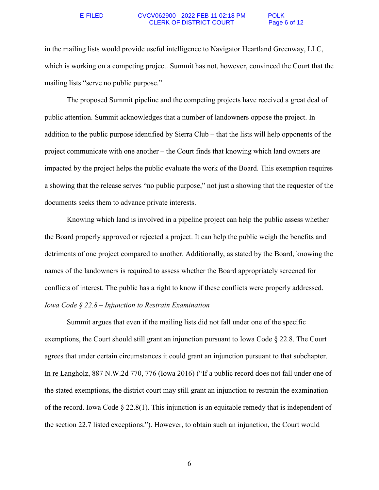### E-FILED CVCV062900 - 2022 FEB 11 02:18 PM POLK CLERK OF DISTRICT COURT Page 6 of 12

in the mailing lists would provide useful intelligence to Navigator Heartland Greenway, LLC, which is working on a competing project. Summit has not, however, convinced the Court that the mailing lists "serve no public purpose."

The proposed Summit pipeline and the competing projects have received a great deal of public attention. Summit acknowledges that a number of landowners oppose the project. In addition to the public purpose identified by Sierra Club – that the lists will help opponents of the project communicate with one another – the Court finds that knowing which land owners are impacted by the project helps the public evaluate the work of the Board. This exemption requires a showing that the release serves "no public purpose," not just a showing that the requester of the documents seeks them to advance private interests.

Knowing which land is involved in a pipeline project can help the public assess whether the Board properly approved or rejected a project. It can help the public weigh the benefits and detriments of one project compared to another. Additionally, as stated by the Board, knowing the names of the landowners is required to assess whether the Board appropriately screened for conflicts of interest. The public has a right to know if these conflicts were properly addressed. *Iowa Code § 22.8 – Injunction to Restrain Examination* 

Summit argues that even if the mailing lists did not fall under one of the specific exemptions, the Court should still grant an injunction pursuant to Iowa Code § 22.8. The Court agrees that under certain circumstances it could grant an injunction pursuant to that subchapter. In re Langholz, 887 N.W.2d 770, 776 (Iowa 2016) ("If a public record does not fall under one of the stated exemptions, the district court may still grant an injunction to restrain the examination of the record. Iowa Code  $\S 22.8(1)$ . This injunction is an equitable remedy that is independent of the section 22.7 listed exceptions."). However, to obtain such an injunction, the Court would

6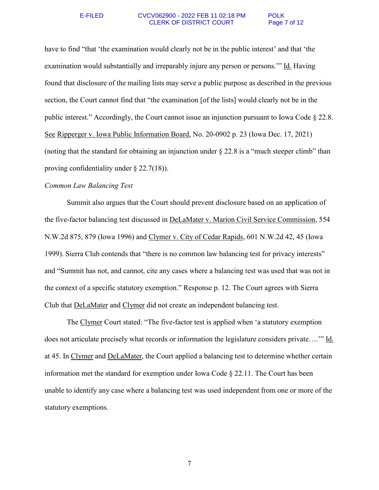### E-FILED CVCV062900 - 2022 FEB 11 02:18 PM POLK CLERK OF DISTRICT COURT Page 7 of 12

have to find "that 'the examination would clearly not be in the public interest' and that 'the examination would substantially and irreparably injure any person or persons.'" Id. Having found that disclosure of the mailing lists may serve a public purpose as described in the previous section, the Court cannot find that "the examination [of the lists] would clearly not be in the public interest." Accordingly, the Court cannot issue an injunction pursuant to Iowa Code § 22.8. See Ripperger v. Iowa Public Information Board, No. 20-0902 p. 23 (Iowa Dec. 17, 2021) (noting that the standard for obtaining an injunction under  $\S 22.8$  is a "much steeper climb" than proving confidentiality under § 22.7(18)).

## *Common Law Balancing Test*

Summit also argues that the Court should prevent disclosure based on an application of the five-factor balancing test discussed in DeLaMater v. Marion Civil Service Commission, 554 N.W.2d 875, 879 (Iowa 1996) and Clymer v. City of Cedar Rapids, 601 N.W.2d 42, 45 (Iowa 1999). Sierra Club contends that "there is no common law balancing test for privacy interests" and "Summit has not, and cannot, cite any cases where a balancing test was used that was not in the context of a specific statutory exemption." Response p. 12. The Court agrees with Sierra Club that DeLaMater and Clymer did not create an independent balancing test.

The Clymer Court stated: "The five-factor test is applied when 'a statutory exemption does not articulate precisely what records or information the legislature considers private….'" Id. at 45. In Clymer and DeLaMater, the Court applied a balancing test to determine whether certain information met the standard for exemption under Iowa Code § 22.11. The Court has been unable to identify any case where a balancing test was used independent from one or more of the statutory exemptions.

7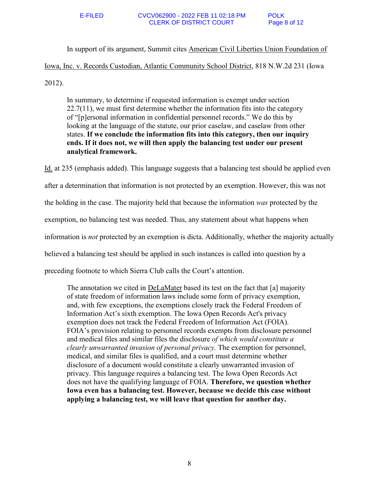In support of its argument, Summit cites American Civil Liberties Union Foundation of Iowa, Inc. v. Records Custodian, Atlantic Community School District, 818 N.W.2d 231 (Iowa 2012).

In summary, to determine if requested information is exempt under section  $22.7(11)$ , we must first determine whether the information fits into the category of "[p]ersonal information in confidential personnel records." We do this by looking at the language of the statute, our prior caselaw, and caselaw from other states. **If we conclude the information fits into this category, then our inquiry ends. If it does not, we will then apply the balancing test under our present analytical framework.**

Id. at 235 (emphasis added). This language suggests that a balancing test should be applied even after a determination that information is not protected by an exemption. However, this was not the holding in the case. The majority held that because the information *was* protected by the exemption, no balancing test was needed. Thus, any statement about what happens when information is *not* protected by an exemption is dicta. Additionally, whether the majority actually believed a balancing test should be applied in such instances is called into question by a preceding footnote to which Sierra Club calls the Court's attention.

The annotation we cited in DeLaMater based its test on the fact that [a] majority of state freedom of information laws include some form of privacy exemption, and, with few exceptions, the exemptions closely track the Federal Freedom of Information Act's sixth exemption. The Iowa Open Records Act's privacy exemption does not track the Federal Freedom of Information Act (FOIA). FOIA's provision relating to personnel records exempts from disclosure personnel and medical files and similar files the disclosure *of which would constitute a clearly unwarranted invasion of personal privacy.* The exemption for personnel, medical, and similar files is qualified, and a court must determine whether disclosure of a document would constitute a clearly unwarranted invasion of privacy. This language requires a balancing test. The Iowa Open Records Act does not have the qualifying language of FOIA. **Therefore, we question whether Iowa even has a balancing test. However, because we decide this case without applying a balancing test, we will leave that question for another day.**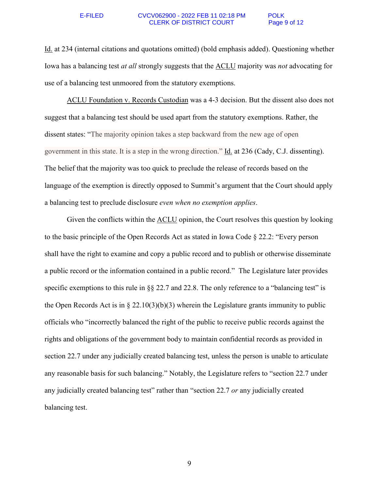### E-FILED CVCV062900 - 2022 FEB 11 02:18 PM POLK CLERK OF DISTRICT COURT Page 9 of 12

Id. at 234 (internal citations and quotations omitted) (bold emphasis added). Questioning whether Iowa has a balancing test *at all* strongly suggests that the ACLU majority was *not* advocating for use of a balancing test unmoored from the statutory exemptions.

ACLU Foundation v. Records Custodian was a 4-3 decision. But the dissent also does not suggest that a balancing test should be used apart from the statutory exemptions. Rather, the dissent states: "The majority opinion takes a step backward from the new age of open government in this state. It is a step in the wrong direction." Id. at 236 (Cady, C.J. dissenting). The belief that the majority was too quick to preclude the release of records based on the language of the exemption is directly opposed to Summit's argument that the Court should apply a balancing test to preclude disclosure *even when no exemption applies*.

Given the conflicts within the ACLU opinion, the Court resolves this question by looking to the basic principle of the Open Records Act as stated in Iowa Code § 22.2: "Every person shall have the right to examine and copy a public record and to publish or otherwise disseminate a public record or the information contained in a public record." The Legislature later provides specific exemptions to this rule in  $\S 22.7$  and 22.8. The only reference to a "balancing test" is the Open Records Act is in  $\S 22.10(3)(b)(3)$  wherein the Legislature grants immunity to public officials who "incorrectly balanced the right of the public to receive public records against the rights and obligations of the government body to maintain confidential records as provided in section 22.7 under any judicially created balancing test, unless the person is unable to articulate any reasonable basis for such balancing." Notably, the Legislature refers to "section 22.7 under any judicially created balancing test" rather than "section 22.7 *or* any judicially created balancing test.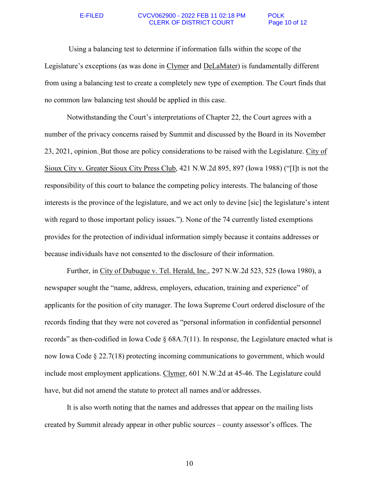### E-FILED CVCV062900 - 2022 FEB 11 02:18 PM POLK CLERK OF DISTRICT COURT Page 10 of 12

 Using a balancing test to determine if information falls within the scope of the Legislature's exceptions (as was done in Clymer and DeLaMater) is fundamentally different from using a balancing test to create a completely new type of exemption. The Court finds that no common law balancing test should be applied in this case.

Notwithstanding the Court's interpretations of Chapter 22, the Court agrees with a number of the privacy concerns raised by Summit and discussed by the Board in its November 23, 2021, opinion. But those are policy considerations to be raised with the Legislature. City of Sioux City v. Greater Sioux City Press Club, 421 N.W.2d 895, 897 (Iowa 1988) ("[I]t is not the responsibility of this court to balance the competing policy interests. The balancing of those interests is the province of the legislature, and we act only to devine [sic] the legislature's intent with regard to those important policy issues."). None of the 74 currently listed exemptions provides for the protection of individual information simply because it contains addresses or because individuals have not consented to the disclosure of their information.

Further, in City of Dubuque v. Tel. Herald, Inc., 297 N.W.2d 523, 525 (Iowa 1980), a newspaper sought the "name, address, employers, education, training and experience" of applicants for the position of city manager. The Iowa Supreme Court ordered disclosure of the records finding that they were not covered as "personal information in confidential personnel records" as then-codified in Iowa Code  $\S$  68A.7(11). In response, the Legislature enacted what is now Iowa Code § 22.7(18) protecting incoming communications to government, which would include most employment applications. Clymer, 601 N.W.2d at 45-46. The Legislature could have, but did not amend the statute to protect all names and/or addresses.

It is also worth noting that the names and addresses that appear on the mailing lists created by Summit already appear in other public sources – county assessor's offices. The

10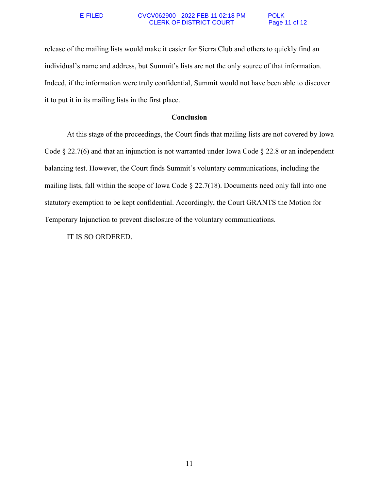### E-FILED CVCV062900 - 2022 FEB 11 02:18 PM POLK CLERK OF DISTRICT COURT Page 11 of 12

release of the mailing lists would make it easier for Sierra Club and others to quickly find an individual's name and address, but Summit's lists are not the only source of that information. Indeed, if the information were truly confidential, Summit would not have been able to discover it to put it in its mailing lists in the first place.

# **Conclusion**

At this stage of the proceedings, the Court finds that mailing lists are not covered by Iowa Code § 22.7(6) and that an injunction is not warranted under Iowa Code § 22.8 or an independent balancing test. However, the Court finds Summit's voluntary communications, including the mailing lists, fall within the scope of Iowa Code § 22.7(18). Documents need only fall into one statutory exemption to be kept confidential. Accordingly, the Court GRANTS the Motion for Temporary Injunction to prevent disclosure of the voluntary communications.

IT IS SO ORDERED.